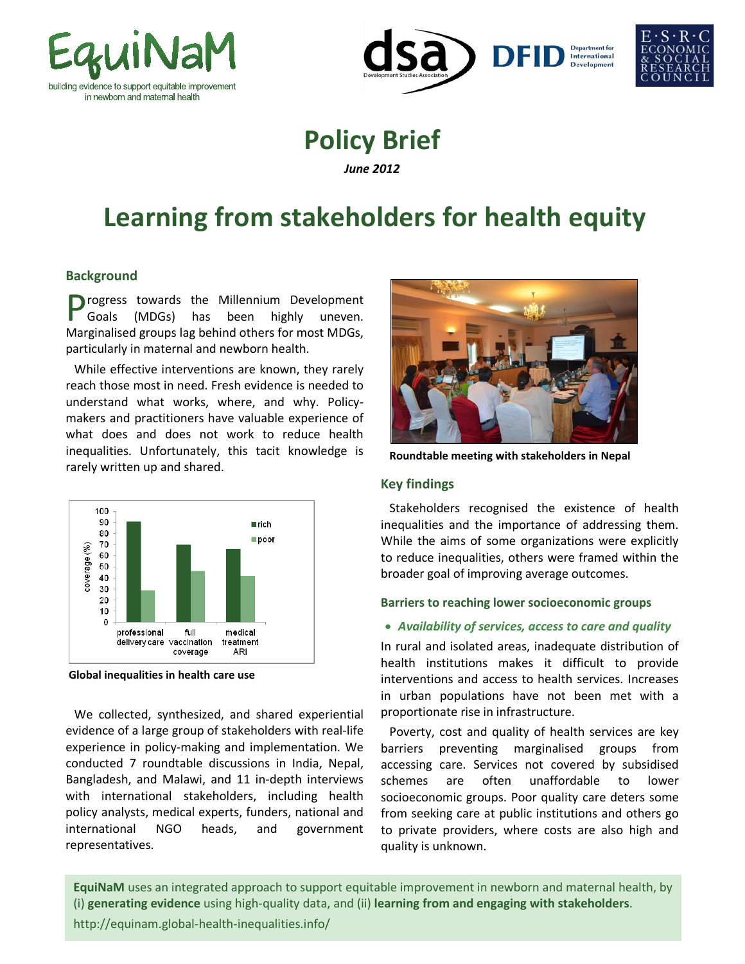





# **Policy Brief**

*June 2012*

# **Learning from stakeholders for health equity**

# **Background**

**P**rogress towards the Millennium Development<br>
Goals (MDGs) has been highly uneven. Goals (MDGs) has been highly uneven. Marginalised groups lag behind others for most MDGs, particularly in maternal and newborn health.

While effective interventions are known, they rarely reach those most in need. Fresh evidence is needed to understand what works, where, and why. Policymakers and practitioners have valuable experience of what does and does not work to reduce health inequalities. Unfortunately, this tacit knowledge is rarely written up and shared.



**Global inequalities in health care use**

We collected, synthesized, and shared experiential evidence of a large group of stakeholders with real-life experience in policy-making and implementation. We conducted 7 roundtable discussions in India, Nepal, Bangladesh, and Malawi, and 11 in-depth interviews with international stakeholders, including health policy analysts, medical experts, funders, national and international NGO heads, and government representatives.



**Roundtable meeting with stakeholders in Nepal**

### **Key findings**

Stakeholders recognised the existence of health inequalities and the importance of addressing them. While the aims of some organizations were explicitly to reduce inequalities, others were framed within the broader goal of improving average outcomes.

#### **Barriers to reaching lower socioeconomic groups**

# • *Availability of services, access to care and quality*

In rural and isolated areas, inadequate distribution of health institutions makes it difficult to provide interventions and access to health services. Increases in urban populations have not been met with a proportionate rise in infrastructure.

Poverty, cost and quality of health services are key barriers preventing marginalised groups from accessing care. Services not covered by subsidised schemes are often unaffordable to lower socioeconomic groups. Poor quality care deters some from seeking care at public institutions and others go to private providers, where costs are also high and quality is unknown.

**EquiNaM** uses an integrated approach to support equitable improvement in newborn and maternal health, by (i) **generating evidence** using high-quality data, and (ii) **learning from and engaging with stakeholders**. http://equinam.global-health-inequalities.info/